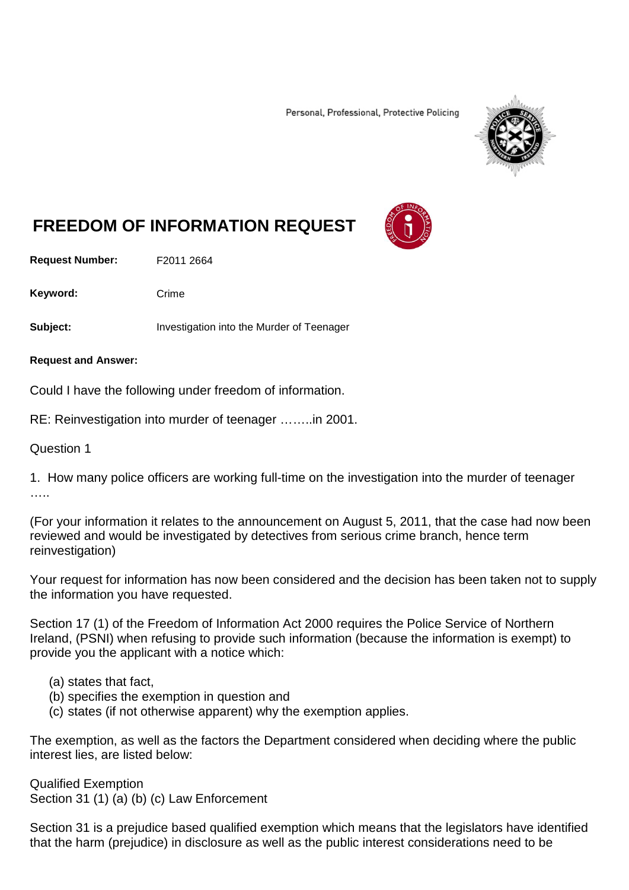Personal, Professional, Protective Policing



# **FREEDOM OF INFORMATION REQUEST**

**Request Number:** F2011 2664

Keyword: Crime

**Subject:** Investigation into the Murder of Teenager

**Request and Answer:**

Could I have the following under freedom of information.

RE: Reinvestigation into murder of teenager ……..in 2001.

Question 1

1. How many police officers are working full-time on the investigation into the murder of teenager ….

(For your information it relates to the announcement on August 5, 2011, that the case had now been reviewed and would be investigated by detectives from serious crime branch, hence term reinvestigation)

Your request for information has now been considered and the decision has been taken not to supply the information you have requested.

Section 17 (1) of the Freedom of Information Act 2000 requires the Police Service of Northern Ireland, (PSNI) when refusing to provide such information (because the information is exempt) to provide you the applicant with a notice which:

- (a) states that fact,
- (b) specifies the exemption in question and
- (c) states (if not otherwise apparent) why the exemption applies.

The exemption, as well as the factors the Department considered when deciding where the public interest lies, are listed below:

Qualified Exemption Section 31 (1) (a) (b) (c) Law Enforcement

Section 31 is a prejudice based qualified exemption which means that the legislators have identified that the harm (prejudice) in disclosure as well as the public interest considerations need to be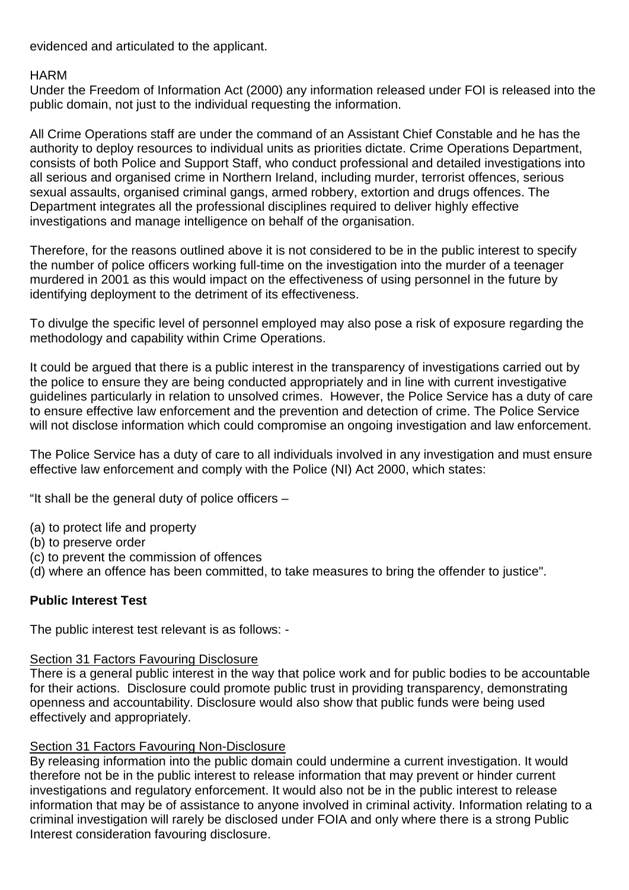evidenced and articulated to the applicant.

### **HARM**

Under the Freedom of Information Act (2000) any information released under FOI is released into the public domain, not just to the individual requesting the information.

All Crime Operations staff are under the command of an Assistant Chief Constable and he has the authority to deploy resources to individual units as priorities dictate. Crime Operations Department, consists of both Police and Support Staff, who conduct professional and detailed investigations into all serious and organised crime in Northern Ireland, including murder, terrorist offences, serious sexual assaults, organised criminal gangs, armed robbery, extortion and drugs offences. The Department integrates all the professional disciplines required to deliver highly effective investigations and manage intelligence on behalf of the organisation.

Therefore, for the reasons outlined above it is not considered to be in the public interest to specify the number of police officers working full-time on the investigation into the murder of a teenager murdered in 2001 as this would impact on the effectiveness of using personnel in the future by identifying deployment to the detriment of its effectiveness.

To divulge the specific level of personnel employed may also pose a risk of exposure regarding the methodology and capability within Crime Operations.

It could be argued that there is a public interest in the transparency of investigations carried out by the police to ensure they are being conducted appropriately and in line with current investigative guidelines particularly in relation to unsolved crimes. However, the Police Service has a duty of care to ensure effective law enforcement and the prevention and detection of crime. The Police Service will not disclose information which could compromise an ongoing investigation and law enforcement.

The Police Service has a duty of care to all individuals involved in any investigation and must ensure effective law enforcement and comply with the Police (NI) Act 2000, which states:

"It shall be the general duty of police officers –

- (a) to protect life and property
- (b) to preserve order
- (c) to prevent the commission of offences
- (d) where an offence has been committed, to take measures to bring the offender to justice".

## **Public Interest Test**

The public interest test relevant is as follows: -

#### **Section 31 Factors Favouring Disclosure**

There is a general public interest in the way that police work and for public bodies to be accountable for their actions. Disclosure could promote public trust in providing transparency, demonstrating openness and accountability. Disclosure would also show that public funds were being used effectively and appropriately.

## **Section 31 Factors Favouring Non-Disclosure**

By releasing information into the public domain could undermine a current investigation. It would therefore not be in the public interest to release information that may prevent or hinder current investigations and regulatory enforcement. It would also not be in the public interest to release information that may be of assistance to anyone involved in criminal activity. Information relating to a criminal investigation will rarely be disclosed under FOIA and only where there is a strong Public Interest consideration favouring disclosure.